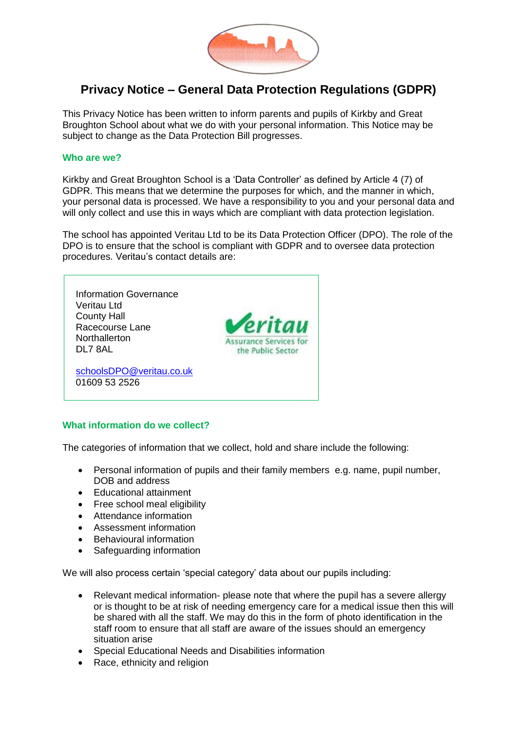

# **Privacy Notice – General Data Protection Regulations (GDPR)**

This Privacy Notice has been written to inform parents and pupils of Kirkby and Great Broughton School about what we do with your personal information. This Notice may be subject to change as the Data Protection Bill progresses.

#### **Who are we?**

Kirkby and Great Broughton School is a 'Data Controller' as defined by Article 4 (7) of GDPR. This means that we determine the purposes for which, and the manner in which, your personal data is processed. We have a responsibility to you and your personal data and will only collect and use this in ways which are compliant with data protection legislation.

The school has appointed Veritau Ltd to be its Data Protection Officer (DPO). The role of the DPO is to ensure that the school is compliant with GDPR and to oversee data protection procedures. Veritau's contact details are:



# **What information do we collect?**

The categories of information that we collect, hold and share include the following:

- Personal information of pupils and their family members e.g. name, pupil number, DOB and address
- Educational attainment
- Free school meal eligibility
- Attendance information
- Assessment information
- **•** Behavioural information
- Safeguarding information

We will also process certain 'special category' data about our pupils including:

- Relevant medical information- please note that where the pupil has a severe allergy or is thought to be at risk of needing emergency care for a medical issue then this will be shared with all the staff. We may do this in the form of photo identification in the staff room to ensure that all staff are aware of the issues should an emergency situation arise
- Special Educational Needs and Disabilities information
- Race, ethnicity and religion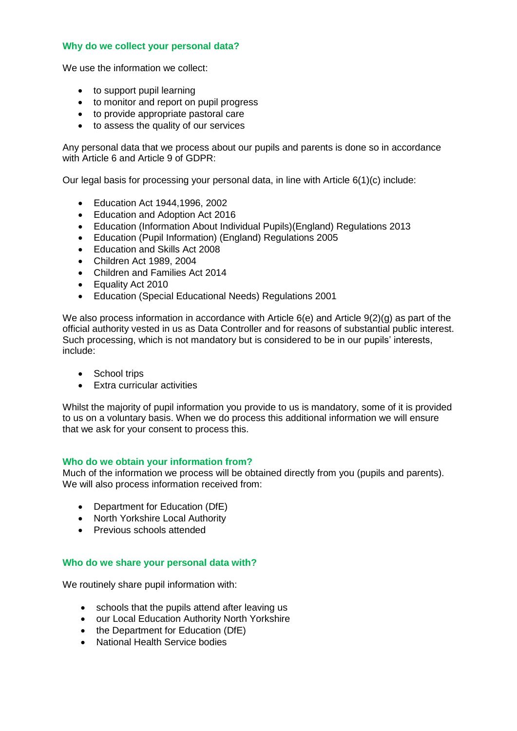## **Why do we collect your personal data?**

We use the information we collect:

- to support pupil learning
- to monitor and report on pupil progress
- to provide appropriate pastoral care
- to assess the quality of our services

Any personal data that we process about our pupils and parents is done so in accordance with Article 6 and Article 9 of GDPR:

Our legal basis for processing your personal data, in line with Article 6(1)(c) include:

- Education Act 1944,1996, 2002
- Education and Adoption Act 2016
- Education (Information About Individual Pupils)(England) Regulations 2013
- Education (Pupil Information) (England) Regulations 2005
- Education and Skills Act 2008
- Children Act 1989, 2004
- Children and Families Act 2014
- Equality Act 2010
- Education (Special Educational Needs) Regulations 2001

We also process information in accordance with Article 6(e) and Article 9(2)(g) as part of the official authority vested in us as Data Controller and for reasons of substantial public interest. Such processing, which is not mandatory but is considered to be in our pupils' interests, include:

- School trips
- Extra curricular activities

Whilst the majority of pupil information you provide to us is mandatory, some of it is provided to us on a voluntary basis. When we do process this additional information we will ensure that we ask for your consent to process this.

#### **Who do we obtain your information from?**

Much of the information we process will be obtained directly from you (pupils and parents). We will also process information received from:

- Department for Education (DfE)
- North Yorkshire Local Authority
- **•** Previous schools attended

# **Who do we share your personal data with?**

We routinely share pupil information with:

- schools that the pupils attend after leaving us
- our Local Education Authority North Yorkshire
- the Department for Education (DfE)
- National Health Service bodies